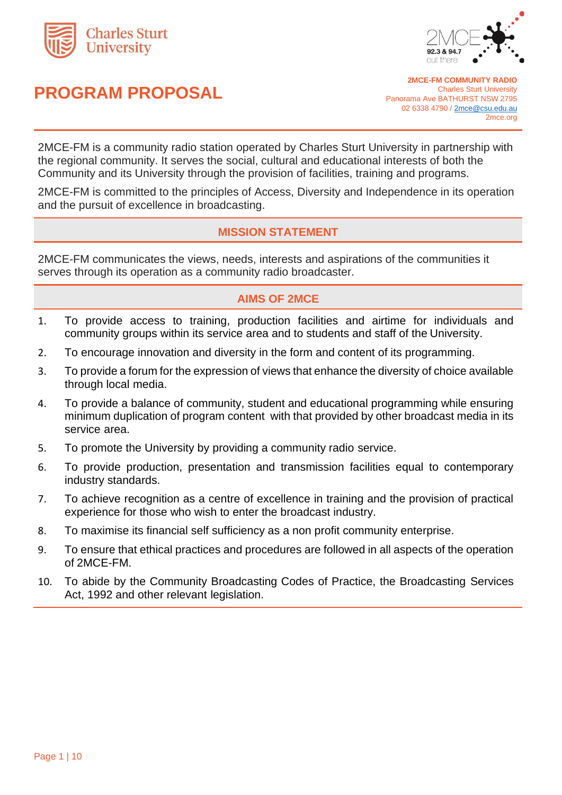

# **PROGRAM PROPOSAL**



**2MCE-FM COMMUNITY RADIO** Charles Sturt University Panorama Ave BATHURST NSW 2795 02 6338 4790 [/ 2mce@csu.edu.au](mailto:2mce@csu.edu.au) 2mce.org

2MCE-FM is a community radio station operated by Charles Sturt University in partnership with the regional community. It serves the social, cultural and educational interests of both the Community and its University through the provision of facilities, training and programs.

2MCE-FM is committed to the principles of Access, Diversity and Independence in its operation and the pursuit of excellence in broadcasting.

# **MISSION STATEMENT**

2MCE-FM communicates the views, needs, interests and aspirations of the communities it serves through its operation as a community radio broadcaster.

# **AIMS OF 2MCE**

- 1. To provide access to training, production facilities and airtime for individuals and community groups within its service area and to students and staff of the University.
- 2. To encourage innovation and diversity in the form and content of its programming.
- 3. To provide a forum for the expression of views that enhance the diversity of choice available through local media.
- 4. To provide a balance of community, student and educational programming while ensuring minimum duplication of program content with that provided by other broadcast media in its service area.
- 5. To promote the University by providing a community radio service.
- 6. To provide production, presentation and transmission facilities equal to contemporary industry standards.
- 7. To achieve recognition as a centre of excellence in training and the provision of practical experience for those who wish to enter the broadcast industry.
- 8. To maximise its financial self sufficiency as a non profit community enterprise.
- 9. To ensure that ethical practices and procedures are followed in all aspects of the operation of 2MCE-FM.
- 10. To abide by the Community Broadcasting Codes of Practice, the Broadcasting Services Act, 1992 and other relevant legislation.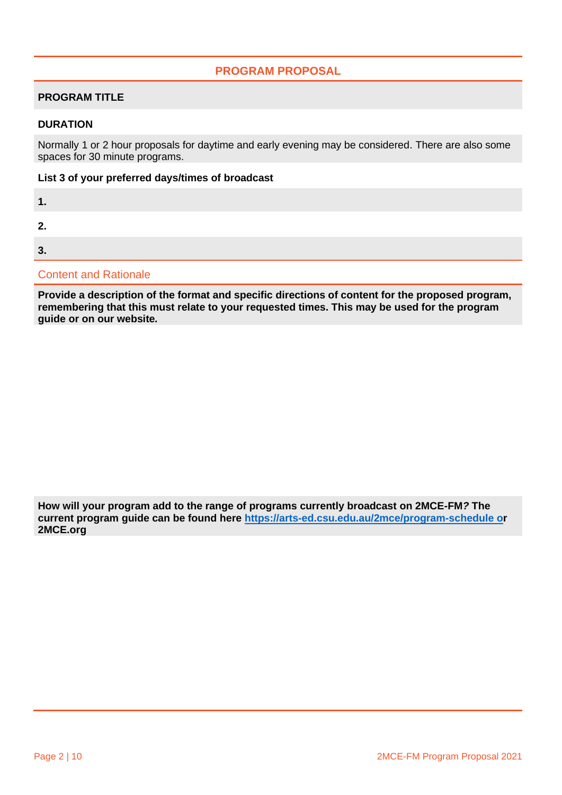# **PROGRAM PROPOSAL**

### **PROGRAM TITLE**

#### **DURATION**

Normally 1 or 2 hour proposals for daytime and early evening may be considered. There are also some spaces for 30 minute programs.

#### **List 3 of your preferred days/times of broadcast**

|  | . . |
|--|-----|

**2.**

**3.**

Content and Rationale

**Provide a description of the format and specific directions of content for the proposed program, remembering that this must relate to your requested times. This may be used for the program guide or on our website***.* 

**How will your program add to the range of programs currently broadcast on 2MCE-FM***?* **The current program guide can be found here<https://arts-ed.csu.edu.au/2mce/program-schedule> or 2MCE.org**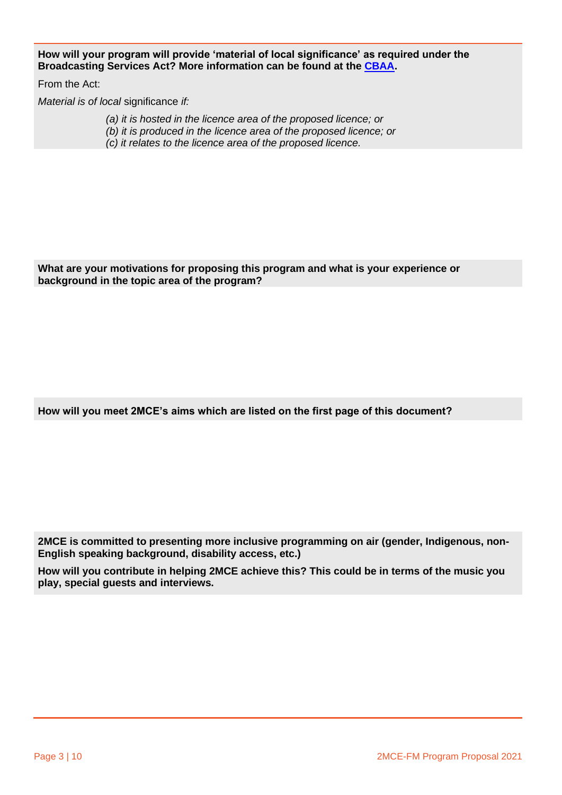**How will your program will provide 'material of local significance' as required under the Broadcasting Services Act? More information can be found at [the CBAA.](https://www.cbaa.org.au/article/changes-broadcasting-services-act-affecting-community-broadcastershttps:/www.cbaa.org.au/article/changes-broadcasting-services-act-affecting-community-broadcasters)** 

From the Act:

*Material is of local* significance *if:*

*(a) it is hosted in the licence area of the proposed licence; or*

- *(b) it is produced in the licence area of the proposed licence; or*
- *(c) it relates to the licence area of the proposed licence.*

**What are your motivations for proposing this program and what is your experience or background in the topic area of the program?**

**How will you meet 2MCE's aims which are listed on the first page of this document?**

**2MCE is committed to presenting more inclusive programming on air (gender, Indigenous, non-English speaking background, disability access, etc.)** 

**How will you contribute in helping 2MCE achieve this? This could be in terms of the music you play, special guests and interviews.**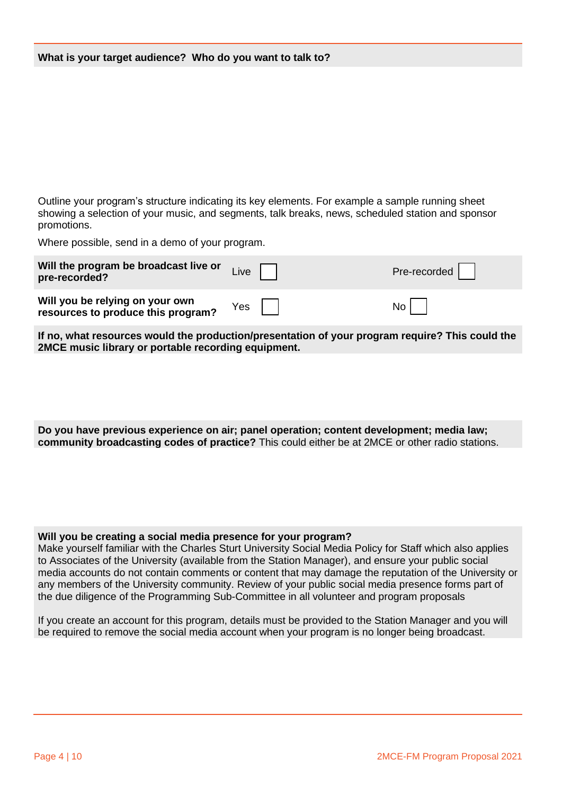Outline your program's structure indicating its key elements. For example a sample running sheet showing a selection of your music, and segments, talk breaks, news, scheduled station and sponsor promotions.

Where possible, send in a demo of your program.

| Will the program be broadcast live or<br>pre-recorded?                | Live | Pre-recorded |
|-----------------------------------------------------------------------|------|--------------|
| Will you be relying on your own<br>resources to produce this program? | Yes  | No l         |

**If no, what resources would the production/presentation of your program require? This could the 2MCE music library or portable recording equipment.**

**Do you have previous experience on air; panel operation; content development; media law; community broadcasting codes of practice?** This could either be at 2MCE or other radio stations.

**Will you be creating a social media presence for your program?** 

Make yourself familiar with the Charles Sturt University Social Media Policy for Staff which also applies to Associates of the University (available from the Station Manager), and ensure your public social media accounts do not contain comments or content that may damage the reputation of the University or any members of the University community. Review of your public social media presence forms part of the due diligence of the Programming Sub-Committee in all volunteer and program proposals

If you create an account for this program, details must be provided to the Station Manager and you will be required to remove the social media account when your program is no longer being broadcast.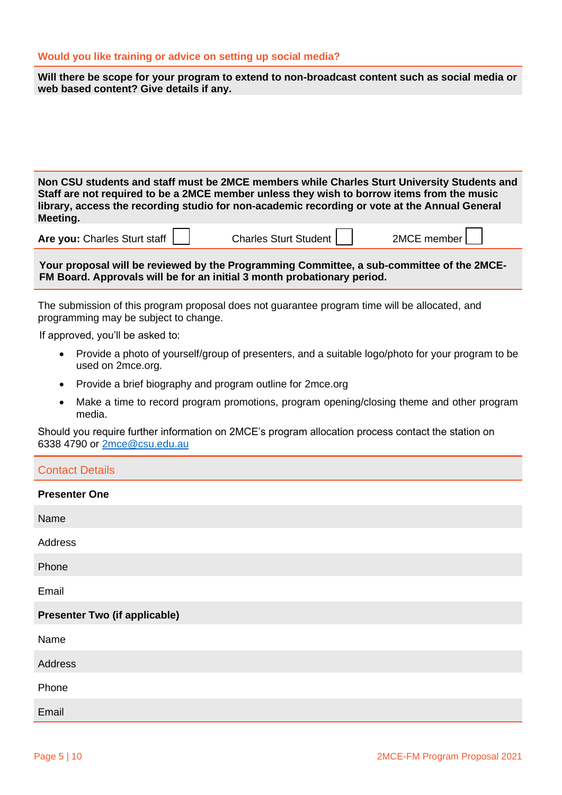#### **Would you like training or advice on setting up social media?**

| Will there be scope for your program to extend to non-broadcast content such as social media or |  |
|-------------------------------------------------------------------------------------------------|--|
| web based content? Give details if any.                                                         |  |

**Non CSU students and staff must be 2MCE members while Charles Sturt University Students and Staff are not required to be a 2MCE member unless they wish to borrow items from the music library, access the recording studio for non-academic recording or vote at the Annual General Meeting.**

**Are vou:** Charles Sturt staff  $\begin{vmatrix} 1 & 1 \\ 1 & 1 \end{vmatrix}$  Charles Sturt Student  $\begin{vmatrix} 1 & 1 \\ 1 & 1 \end{vmatrix}$  2MCE member

**Your proposal will be reviewed by the Programming Committee, a sub-committee of the 2MCE-FM Board. Approvals will be for an initial 3 month probationary period.** 

The submission of this program proposal does not guarantee program time will be allocated, and programming may be subject to change.

If approved, you'll be asked to:

- Provide a photo of yourself/group of presenters, and a suitable logo/photo for your program to be used on 2mce.org.
- Provide a brief biography and program outline for 2mce.org
- Make a time to record program promotions, program opening/closing theme and other program media.

Should you require further information on 2MCE's program allocation process contact the station on 6338 4790 or [2mce@csu.edu.au](mailto:2mce@csu.edu.au)

| <b>Contact Details</b>               |
|--------------------------------------|
| <b>Presenter One</b>                 |
| Name                                 |
| Address                              |
| Phone                                |
| Email                                |
| <b>Presenter Two (if applicable)</b> |
| Name                                 |
| Address                              |
| Phone                                |
| Email                                |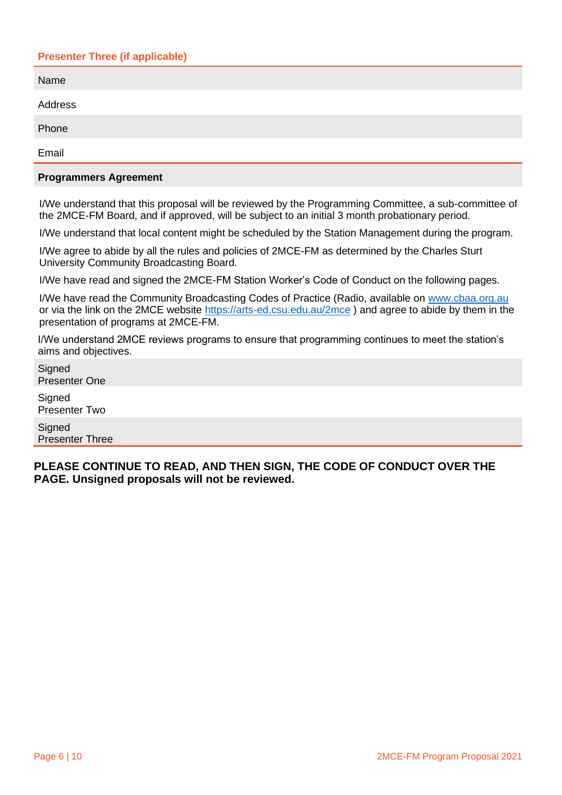## **Presenter Three (if applicable)**

| Name    |  |
|---------|--|
| Address |  |
| Phone   |  |
| Email   |  |
|         |  |

#### **Programmers Agreement**

I/We understand that this proposal will be reviewed by the Programming Committee, a sub-committee of the 2MCE-FM Board, and if approved, will be subject to an initial 3 month probationary period.

I/We understand that local content might be scheduled by the Station Management during the program.

I/We agree to abide by all the rules and policies of 2MCE-FM as determined by the Charles Sturt University Community Broadcasting Board.

I/We have read and signed the 2MCE-FM Station Worker's Code of Conduct on the following pages.

I/We have read the Community Broadcasting Codes of Practice (Radio, available on [www.cbaa.org.au](http://www.cbaa.org.au/) or via the link on the 2MCE website<https://arts-ed.csu.edu.au/2mce>) and agree to abide by them in the presentation of programs at 2MCE-FM.

I/We understand 2MCE reviews programs to ensure that programming continues to meet the station's aims and objectives.

**Signed** Presenter One

**Signed** Presenter Two

**Signed** Presenter Three

**PLEASE CONTINUE TO READ, AND THEN SIGN, THE CODE OF CONDUCT OVER THE PAGE. Unsigned proposals will not be reviewed.**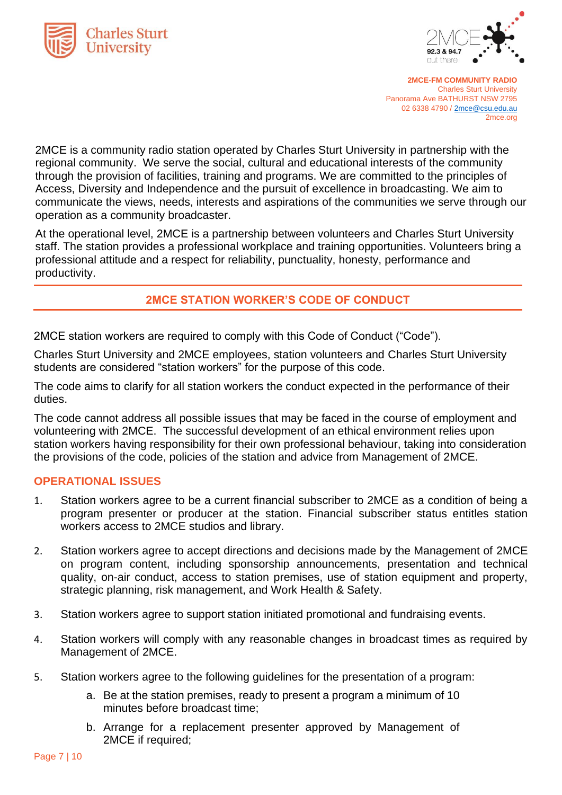



**2MCE-FM COMMUNITY RADIO** Charles Sturt University Panorama Ave BATHURST NSW 2795 02 6338 4790 [/ 2mce@csu.edu.au](mailto:2mce@csu.edu.au) 2mce.org

2MCE is a community radio station operated by Charles Sturt University in partnership with the regional community. We serve the social, cultural and educational interests of the community through the provision of facilities, training and programs. We are committed to the principles of Access, Diversity and Independence and the pursuit of excellence in broadcasting. We aim to communicate the views, needs, interests and aspirations of the communities we serve through our operation as a community broadcaster.

At the operational level, 2MCE is a partnership between volunteers and Charles Sturt University staff. The station provides a professional workplace and training opportunities. Volunteers bring a professional attitude and a respect for reliability, punctuality, honesty, performance and productivity.

# **2MCE STATION WORKER'S CODE OF CONDUCT**

2MCE station workers are required to comply with this Code of Conduct ("Code").

Charles Sturt University and 2MCE employees, station volunteers and Charles Sturt University students are considered "station workers" for the purpose of this code.

The code aims to clarify for all station workers the conduct expected in the performance of their duties.

The code cannot address all possible issues that may be faced in the course of employment and volunteering with 2MCE. The successful development of an ethical environment relies upon station workers having responsibility for their own professional behaviour, taking into consideration the provisions of the code, policies of the station and advice from Management of 2MCE.

## **OPERATIONAL ISSUES**

- 1. Station workers agree to be a current financial subscriber to 2MCE as a condition of being a program presenter or producer at the station. Financial subscriber status entitles station workers access to 2MCE studios and library.
- 2. Station workers agree to accept directions and decisions made by the Management of 2MCE on program content, including sponsorship announcements, presentation and technical quality, on-air conduct, access to station premises, use of station equipment and property, strategic planning, risk management, and Work Health & Safety.
- 3. Station workers agree to support station initiated promotional and fundraising events.
- 4. Station workers will comply with any reasonable changes in broadcast times as required by Management of 2MCE.
- 5. Station workers agree to the following guidelines for the presentation of a program:
	- a. Be at the station premises, ready to present a program a minimum of 10 minutes before broadcast time;
	- b. Arrange for a replacement presenter approved by Management of 2MCE if required;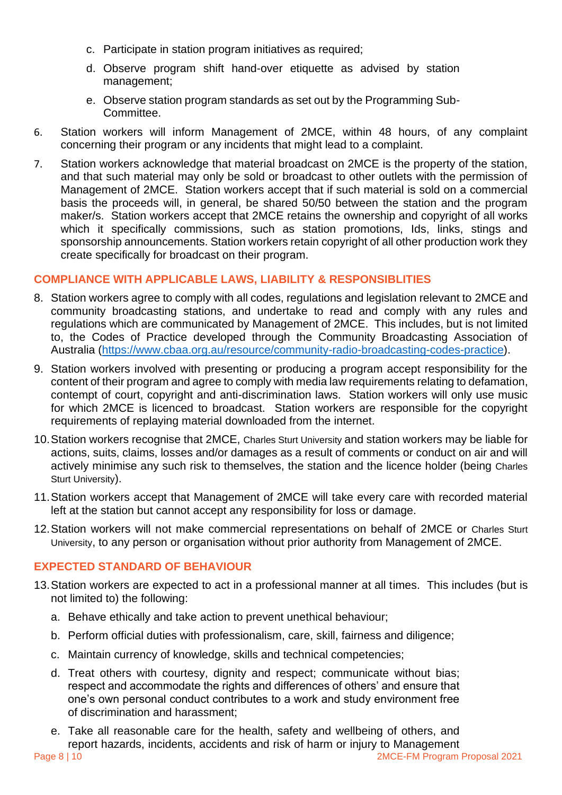- c. Participate in station program initiatives as required;
- d. Observe program shift hand-over etiquette as advised by station management;
- e. Observe station program standards as set out by the Programming Sub-Committee.
- 6. Station workers will inform Management of 2MCE, within 48 hours, of any complaint concerning their program or any incidents that might lead to a complaint.
- 7. Station workers acknowledge that material broadcast on 2MCE is the property of the station, and that such material may only be sold or broadcast to other outlets with the permission of Management of 2MCE. Station workers accept that if such material is sold on a commercial basis the proceeds will, in general, be shared 50/50 between the station and the program maker/s. Station workers accept that 2MCE retains the ownership and copyright of all works which it specifically commissions, such as station promotions, Ids, links, stings and sponsorship announcements. Station workers retain copyright of all other production work they create specifically for broadcast on their program.

## **COMPLIANCE WITH APPLICABLE LAWS, LIABILITY & RESPONSIBLITIES**

- 8. Station workers agree to comply with all codes, regulations and legislation relevant to 2MCE and community broadcasting stations, and undertake to read and comply with any rules and regulations which are communicated by Management of 2MCE. This includes, but is not limited to, the Codes of Practice developed through the Community Broadcasting Association of Australia [\(https://www.cbaa.org.au/resource/community-radio-broadcasting-codes-practice\)](https://www.cbaa.org.au/resource/community-radio-broadcasting-codes-practice).
- 9. Station workers involved with presenting or producing a program accept responsibility for the content of their program and agree to comply with media law requirements relating to defamation, contempt of court, copyright and anti-discrimination laws. Station workers will only use music for which 2MCE is licenced to broadcast. Station workers are responsible for the copyright requirements of replaying material downloaded from the internet.
- 10.Station workers recognise that 2MCE, Charles Sturt University and station workers may be liable for actions, suits, claims, losses and/or damages as a result of comments or conduct on air and will actively minimise any such risk to themselves, the station and the licence holder (being Charles Sturt University).
- 11.Station workers accept that Management of 2MCE will take every care with recorded material left at the station but cannot accept any responsibility for loss or damage.
- 12.Station workers will not make commercial representations on behalf of 2MCE or Charles Sturt University, to any person or organisation without prior authority from Management of 2MCE.

## **EXPECTED STANDARD OF BEHAVIOUR**

- 13.Station workers are expected to act in a professional manner at all times. This includes (but is not limited to) the following:
	- a. Behave ethically and take action to prevent unethical behaviour;
	- b. Perform official duties with professionalism, care, skill, fairness and diligence;
	- c. Maintain currency of knowledge, skills and technical competencies;
	- d. Treat others with courtesy, dignity and respect; communicate without bias; respect and accommodate the rights and differences of others' and ensure that one's own personal conduct contributes to a work and study environment free of discrimination and harassment;
	- e. Take all reasonable care for the health, safety and wellbeing of others, and report hazards, incidents, accidents and risk of harm or injury to Management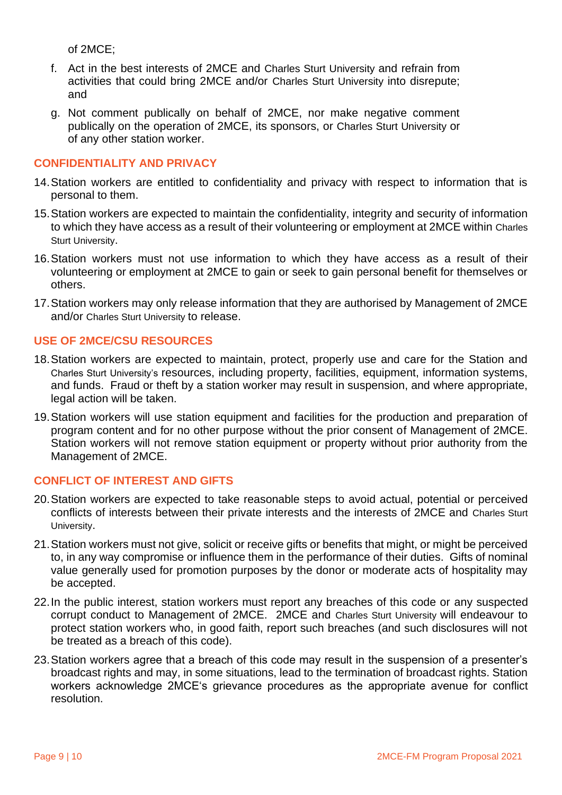of 2MCE;

- f. Act in the best interests of 2MCE and Charles Sturt University and refrain from activities that could bring 2MCE and/or Charles Sturt University into disrepute; and
- g. Not comment publically on behalf of 2MCE, nor make negative comment publically on the operation of 2MCE, its sponsors, or Charles Sturt University or of any other station worker.

## **CONFIDENTIALITY AND PRIVACY**

- 14.Station workers are entitled to confidentiality and privacy with respect to information that is personal to them.
- 15.Station workers are expected to maintain the confidentiality, integrity and security of information to which they have access as a result of their volunteering or employment at 2MCE within Charles Sturt University.
- 16.Station workers must not use information to which they have access as a result of their volunteering or employment at 2MCE to gain or seek to gain personal benefit for themselves or others.
- 17.Station workers may only release information that they are authorised by Management of 2MCE and/or Charles Sturt University to release.

## **USE OF 2MCE/CSU RESOURCES**

- 18.Station workers are expected to maintain, protect, properly use and care for the Station and Charles Sturt University's resources, including property, facilities, equipment, information systems, and funds. Fraud or theft by a station worker may result in suspension, and where appropriate, legal action will be taken.
- 19.Station workers will use station equipment and facilities for the production and preparation of program content and for no other purpose without the prior consent of Management of 2MCE. Station workers will not remove station equipment or property without prior authority from the Management of 2MCE.

## **CONFLICT OF INTEREST AND GIFTS**

- 20.Station workers are expected to take reasonable steps to avoid actual, potential or perceived conflicts of interests between their private interests and the interests of 2MCE and Charles Sturt University.
- 21.Station workers must not give, solicit or receive gifts or benefits that might, or might be perceived to, in any way compromise or influence them in the performance of their duties. Gifts of nominal value generally used for promotion purposes by the donor or moderate acts of hospitality may be accepted.
- 22.In the public interest, station workers must report any breaches of this code or any suspected corrupt conduct to Management of 2MCE. 2MCE and Charles Sturt University will endeavour to protect station workers who, in good faith, report such breaches (and such disclosures will not be treated as a breach of this code).
- 23.Station workers agree that a breach of this code may result in the suspension of a presenter's broadcast rights and may, in some situations, lead to the termination of broadcast rights. Station workers acknowledge 2MCE's grievance procedures as the appropriate avenue for conflict resolution.